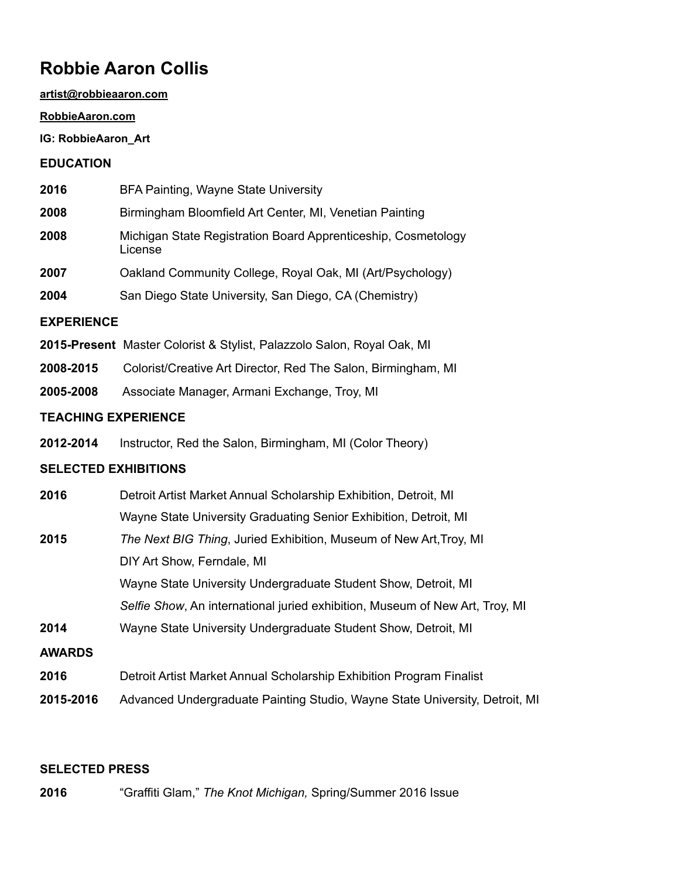# **Robbie Aaron Collis**

### **[artist@robbieaaron.com](mailto:artist@robbieaaron.com)**

### **[RobbieAaron.com](http://RobbieAaron.com)**

# **IG: RobbieAaron\_Art**

# **EDUCATION**

| 2016 | BFA Painting, Wayne State University |
|------|--------------------------------------|
|      |                                      |

- **2008** Birmingham Bloomfield Art Center, MI, Venetian Painting
- **2008** Michigan State Registration Board Apprenticeship, Cosmetology License
- **2007** Oakland Community College, Royal Oak, MI (Art/Psychology)
- **2004** San Diego State University, San Diego, CA (Chemistry)

# **EXPERIENCE**

- **2015-Present** Master Colorist & Stylist, Palazzolo Salon, Royal Oak, MI
- **2008-2015** Colorist/Creative Art Director, Red The Salon, Birmingham, MI
- **2005-2008** Associate Manager, Armani Exchange, Troy, MI

# **TEACHING EXPERIENCE**

**2012-2014** Instructor, Red the Salon, Birmingham, MI (Color Theory)

# **SELECTED EXHIBITIONS**

| 2016          | Detroit Artist Market Annual Scholarship Exhibition, Detroit, MI             |  |  |  |  |
|---------------|------------------------------------------------------------------------------|--|--|--|--|
|               | Wayne State University Graduating Senior Exhibition, Detroit, MI             |  |  |  |  |
| 2015          | The Next BIG Thing, Juried Exhibition, Museum of New Art, Troy, MI           |  |  |  |  |
|               | DIY Art Show, Ferndale, MI                                                   |  |  |  |  |
|               | Wayne State University Undergraduate Student Show, Detroit, MI               |  |  |  |  |
|               | Selfie Show, An international juried exhibition, Museum of New Art, Troy, MI |  |  |  |  |
| 2014          | Wayne State University Undergraduate Student Show, Detroit, MI               |  |  |  |  |
| <b>AWARDS</b> |                                                                              |  |  |  |  |
| 2016          | Detroit Artist Market Annual Scholarship Exhibition Program Finalist         |  |  |  |  |
| 2015-2016     | Advanced Undergraduate Painting Studio, Wayne State University, Detroit, MI  |  |  |  |  |

# **SELECTED PRESS**

**2016** "Graffiti Glam," *The Knot Michigan,* Spring/Summer 2016 Issue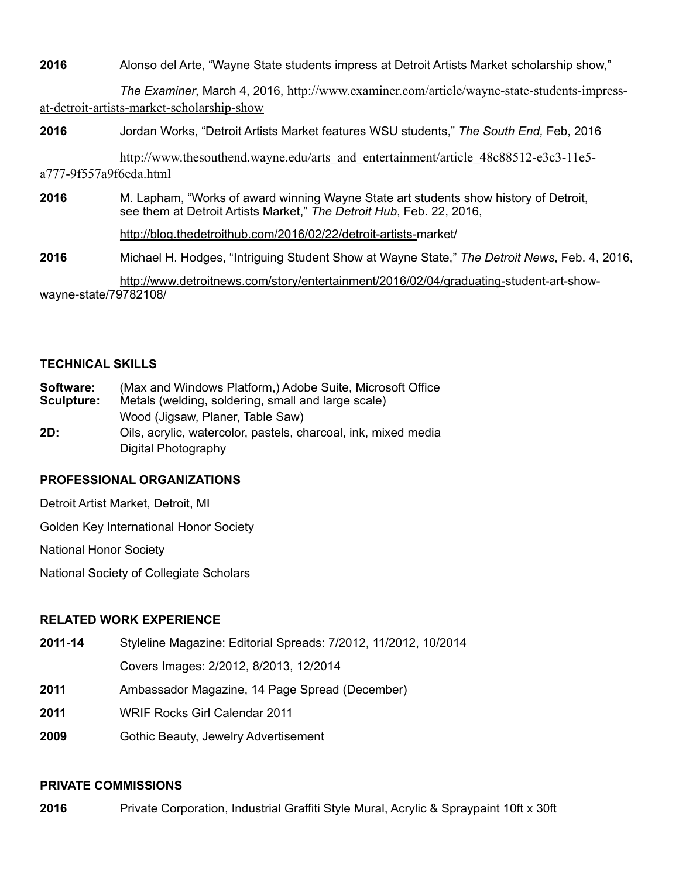**2016** Alonso del Arte, "Wayne State students impress at Detroit Artists Market scholarship show,"

*The Examiner*, March 4, 2016, [http://www.examiner.com/article/wayne-state-students-impress](http://www.examiner.com/article/wayne-state-students-impress-at-detroit-artists-market-scholarship-show)at-detroit-artists-market-scholarship-show

**2016** Jordan Works, "Detroit Artists Market features WSU students," *The South End,* Feb, 2016

[http://www.thesouthend.wayne.edu/arts\\_and\\_entertainment/article\\_48c88512-e3c3-11e5](http://www.thesouthend.wayne.edu/arts_and_entertainment/article_48c88512-e3c3-11e5-a777-9f557a9f6eda.html) a777-9f557a9f6eda.html

**2016** M. Lapham, "Works of award winning Wayne State art students show history of Detroit, see them at Detroit Artists Market," *The Detroit Hub*, Feb. 22, 2016,

[http://blog.thedetroithub.com/2016/02/22/detroit-artists-m](http://blog.thedetroithub.com/2016/02/22/detroit-artists-)arket/

**2016** Michael H. Hodges, "Intriguing Student Show at Wayne State," *The Detroit News*, Feb. 4, 2016,

 [http://www.detroitnews.com/story/entertainment/2016/02/04/graduating-s](http://www.detroitnews.com/story/entertainment/2016/02/04/graduating-student-art-show-wayne-state/79782108/)tudent-art-showwayne-state/79782108/

### **TECHNICAL SKILLS**

| Software: |  |  | (Max and Windows Platform,) Adobe Suite, Microsoft Office |
|-----------|--|--|-----------------------------------------------------------|
|           |  |  |                                                           |

- **Sculpture:** Metals (welding, soldering, small and large scale)
	- Wood (Jigsaw, Planer, Table Saw)
- **2D:** Oils, acrylic, watercolor, pastels, charcoal, ink, mixed media Digital Photography

# **PROFESSIONAL ORGANIZATIONS**

Detroit Artist Market, Detroit, MI

Golden Key International Honor Society

National Honor Society

National Society of Collegiate Scholars

# **RELATED WORK EXPERIENCE**

- **2011-14** Styleline Magazine: Editorial Spreads: 7/2012, 11/2012, 10/2014 Covers Images: 2/2012, 8/2013, 12/2014
- **2011** Ambassador Magazine, 14 Page Spread (December)
- **2011** WRIF Rocks Girl Calendar 2011
- **2009** Gothic Beauty, Jewelry Advertisement

# **PRIVATE COMMISSIONS**

**2016** Private Corporation, Industrial Graffiti Style Mural, Acrylic & Spraypaint 10ft x 30ft